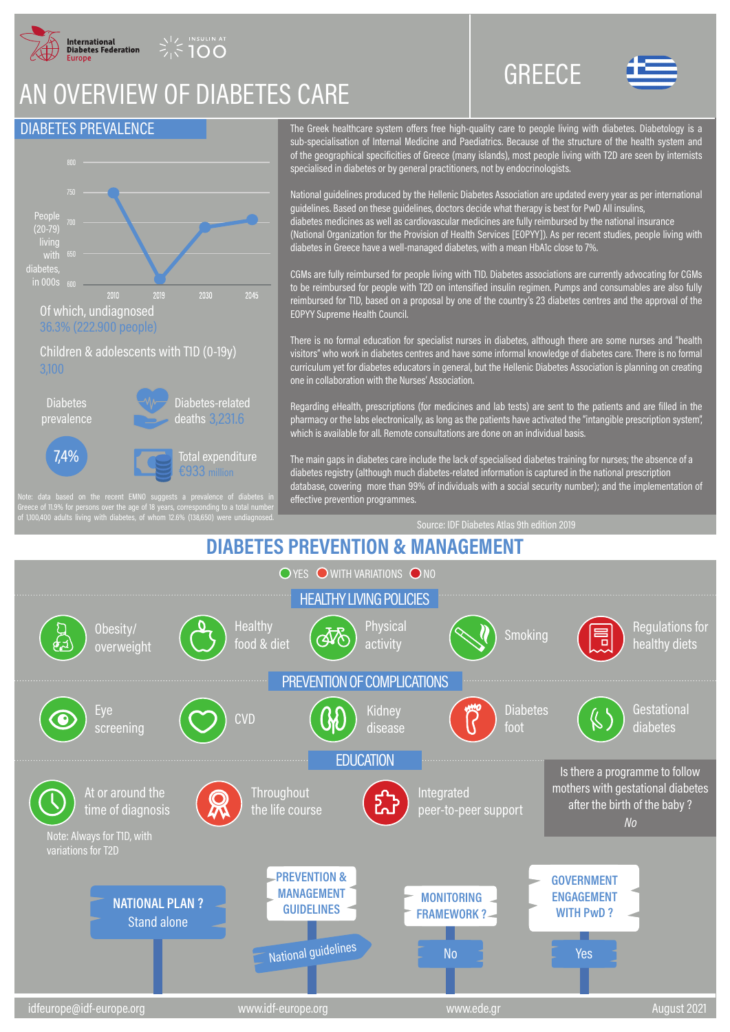

**NE INSULIN AT**<br>21 - 100

## AN OVERVIEW OF DIABETES CARE GREECE

## DIABETES PREVALENCE



Total expenditure €933 million 7,4%

data based on the recent EMNO suggests a prevalence of diabetes in of 1,100,400 adults living with diabetes, of whom 12.6% (138,650) were undiagnosed.

The Greek healthcare system offers free high-quality care to people living with diabetes. Diabetology is a sub-specialisation of Internal Medicine and Paediatrics. Because of the structure of the health system and of the geographical specificities of Greece (many islands), most people living with T2D are seen by internists specialised in diabetes or by general practitioners, not by endocrinologists.

National guidelines produced by the Hellenic Diabetes Association are updated every year as per international guidelines. Based on these guidelines, doctors decide what therapy is best for PwD All insulins, diabetes medicines as well as cardiovascular medicines are fully reimbursed by the national insurance (National Organization for the Provision of Health Services [EOPYY]). As per recent studies, people living with diabetes in Greece have a well-managed diabetes, with a mean HbA1c close to 7%.

CGMs are fully reimbursed for people living with T1D. Diabetes associations are currently advocating for CGMs to be reimbursed for people with T2D on intensified insulin regimen. Pumps and consumables are also fully reimbursed for T1D, based on a proposal by one of the country's 23 diabetes centres and the approval of the EOPYY Supreme Health Council.

There is no formal education for specialist nurses in diabetes, although there are some nurses and "health visitors" who work in diabetes centres and have some informal knowledge of diabetes care. There is no formal curriculum yet for diabetes educators in general, but the Hellenic Diabetes Association is planning on creating one in collaboration with the Nurses' Association.

Regarding eHealth, prescriptions (for medicines and lab tests) are sent to the patients and are filled in the pharmacy or the labs electronically, as long as the patients have activated the "intangible prescription system", which is available for all. Remote consultations are done on an individual basis.

The main gaps in diabetes care include the lack of specialised diabetes training for nurses; the absence of a diabetes registry (although much diabetes-related information is captured in the national prescription database, covering more than 99% of individuals with a social security number); and the implementation of effective prevention programmes.

## **DIABETES PREVENTION & MANAGEMENT**

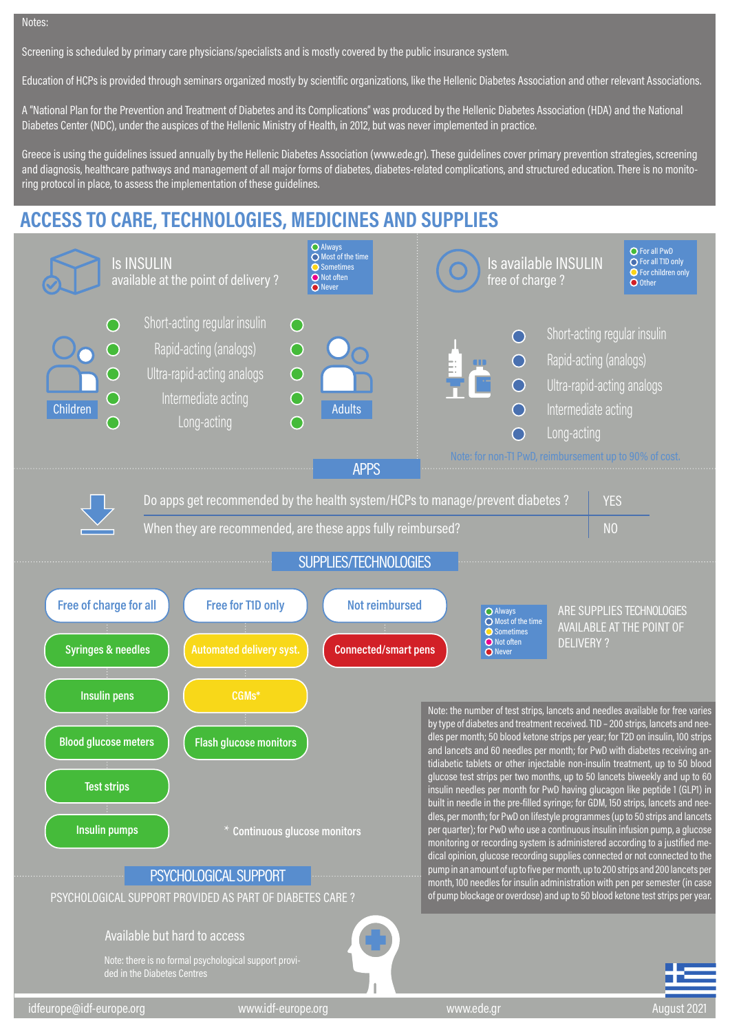Screening is scheduled by primary care physicians/specialists and is mostly covered by the public insurance system.

Education of HCPs is provided through seminars organized mostly by scientific organizations, like the Hellenic Diabetes Association and other relevant Associations.

A "National Plan for the Prevention and Treatment of Diabetes and its Complications" was produced by the Hellenic Diabetes Association (HDA) and the National Diabetes Center (NDC), under the auspices of the Hellenic Ministry of Health, in 2012, but was never implemented in practice.

Greece is using the guidelines issued annually by the Hellenic Diabetes Association (www.ede.gr). These guidelines cover primary prevention strategies, screening and diagnosis, healthcare pathways and management of all major forms of diabetes, diabetes-related complications, and structured education. There is no monitoring protocol in place, to assess the implementation of these guidelines.

## **ACCESS TO CARE, TECHNOLOGIES, MEDICINES AND SUPPLIES**